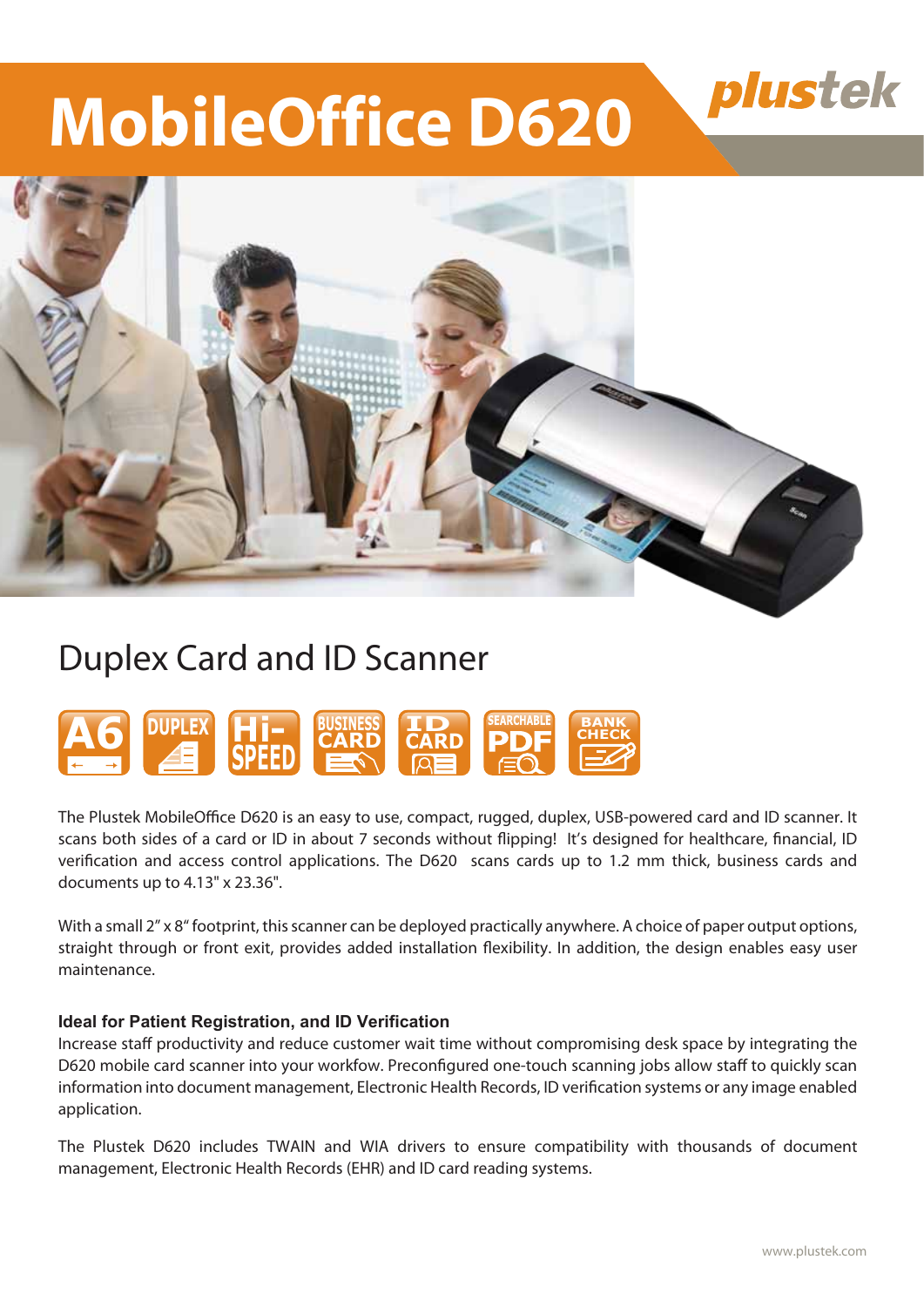## plustek

# **MobileOffice D620**



## Duplex Card and ID Scanner



The Plustek MobileOffice D620 is an easy to use, compact, rugged, duplex, USB-powered card and ID scanner. It scans both sides of a card or ID in about 7 seconds without flipping! It's designed for healthcare, financial, ID verification and access control applications. The D620 scans cards up to 1.2 mm thick, business cards and documents up to 4.13" x 23.36".

With a small 2" x 8" footprint, this scanner can be deployed practically anywhere. A choice of paper output options, straight through or front exit, provides added installation flexibility. In addition, the design enables easy user maintenance.

### **Ideal for Patient Registration, and ID Verification**

Increase staff productivity and reduce customer wait time without compromising desk space by integrating the D620 mobile card scanner into your workfow. Preconfigured one-touch scanning jobs allow staff to quickly scan information into document management, Electronic Health Records, ID verification systems or any image enabled application.

The Plustek D620 includes TWAIN and WIA drivers to ensure compatibility with thousands of document management, Electronic Health Records (EHR) and ID card reading systems.